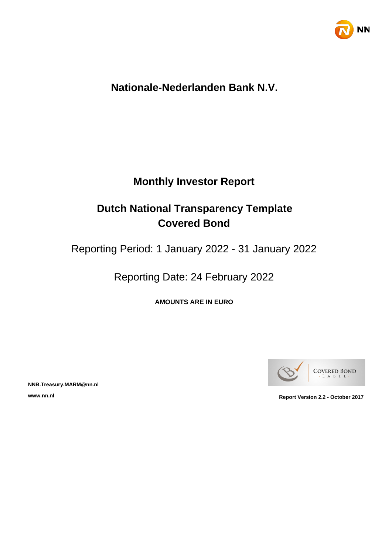

# **Nationale-Nederlanden Bank N.V.**

# **Monthly Investor Report**

# **Dutch National Transparency Template Covered Bond**

Reporting Period: 1 January 2022 - 31 January 2022

Reporting Date: 24 February 2022

**AMOUNTS ARE IN EURO**



**NNB.Treasury.MARM@nn.nl**

**www.nn.nl Report Version 2.2 - October 2017**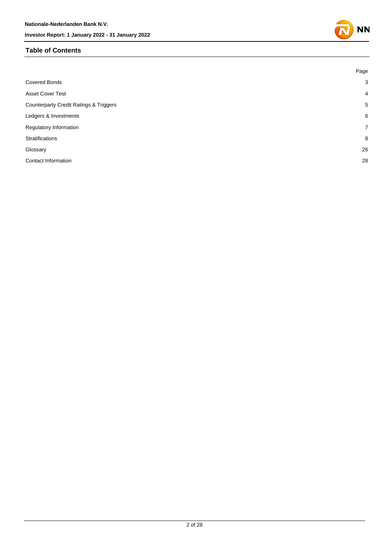#### **Table of Contents**

|                                                   | Page           |
|---------------------------------------------------|----------------|
| <b>Covered Bonds</b>                              | $\mathbf{3}$   |
| <b>Asset Cover Test</b>                           | $\overline{4}$ |
| <b>Counterparty Credit Ratings &amp; Triggers</b> | 5              |
| Ledgers & Investments                             | 6              |
| Regulatory Information                            | $\overline{7}$ |
| <b>Stratifications</b>                            | 8              |
| Glossary                                          | 26             |
| Contact Information                               | 28             |

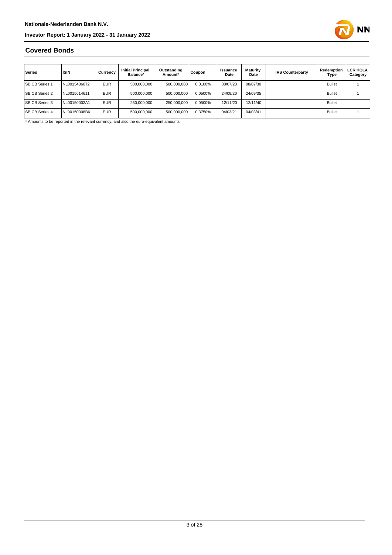

#### **Covered Bonds**

| Series                | <b>ISIN</b>  | Currency   | <b>Initial Principal</b><br>Balance* | Outstanding<br>Amount* | Coupon  | Issuance<br>Date | <b>Maturity</b><br>Date | <b>IRS Counterparty</b> | Redemption<br>Type | <b>LCR HQLA</b><br>Category |
|-----------------------|--------------|------------|--------------------------------------|------------------------|---------|------------------|-------------------------|-------------------------|--------------------|-----------------------------|
| <b>SB CB Series 1</b> | NL0015436072 | <b>EUR</b> | 500.000.000                          | 500,000,000            | 0.0100% | 08/07/20         | 08/07/30                |                         | <b>Bullet</b>      |                             |
| <b>SB CB Series 2</b> | NL0015614611 | <b>EUR</b> | 500.000.000                          | 500.000.000            | 0.0500% | 24/09/20         | 24/09/35                |                         | <b>Bullet</b>      |                             |
| <b>SB CB Series 3</b> | NL00150002A1 | <b>EUR</b> | 250.000.000                          | 250,000,000            | 0.0500% | 12/11/20         | 12/11/40                |                         | <b>Bullet</b>      |                             |
| <b>SB CB Series 4</b> | NL00150008B6 | <b>EUR</b> | 500.000.000                          | 500,000,000            | 0.3750% | 04/03/21         | 04/03/41                |                         | <b>Bullet</b>      |                             |

\* Amounts to be reported in the relevant currency, and also the euro-equivalent amounts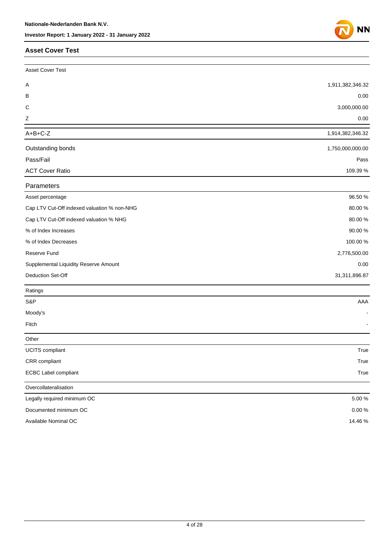#### **Asset Cover Test**

Other

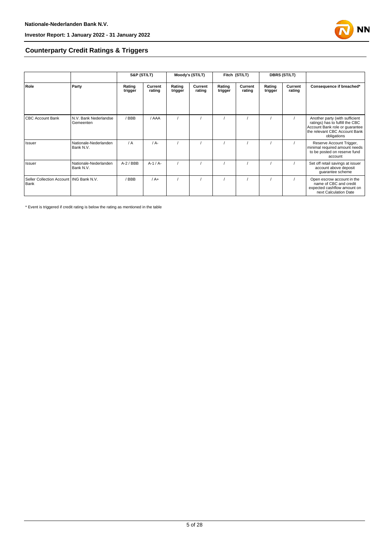

#### **Counterparty Credit Ratings & Triggers**

|                                                   |                                    | S&P (ST/LT)       |                   | Moody's (ST/LT)   |                   | Fitch (ST/LT)     |                   | <b>DBRS (ST/LT)</b> |                   |                                                                                                                                                     |  |
|---------------------------------------------------|------------------------------------|-------------------|-------------------|-------------------|-------------------|-------------------|-------------------|---------------------|-------------------|-----------------------------------------------------------------------------------------------------------------------------------------------------|--|
| Role                                              | Party                              | Rating<br>trigger | Current<br>rating | Rating<br>trigger | Current<br>rating | Rating<br>trigger | Current<br>rating | Rating<br>trigger   | Current<br>rating | Consequence if breached*                                                                                                                            |  |
| <b>CBC Account Bank</b>                           | N.V. Bank Nederlandse<br>Gemeenten | / BBB             | / AAA             |                   |                   |                   |                   |                     |                   | Another party (with sufficient<br>ratings) has to fulfill the CBC<br>Account Bank role or guarantee<br>the relevant CBC Account Bank<br>obligations |  |
| Issuer                                            | Nationale-Nederlanden<br>Bank N.V. | / A               | $/A$ -            |                   |                   |                   |                   |                     |                   | Reserve Account Trigger,<br>minimal required amount needs<br>to be posted on reserve fund<br>account                                                |  |
| Issuer                                            | Nationale-Nederlanden<br>Bank N.V. | $A-2$ / BBB       | $A-1/A-$          |                   |                   |                   |                   |                     |                   | Set off retail savings at issuer<br>account above deposit<br>guarantee scheme                                                                       |  |
| Seller Collection Account   ING Bank N.V.<br>Bank |                                    | BBB               | $/A+$             |                   |                   |                   |                   |                     |                   | Open escrow account in the<br>name of CBC and credit<br>expected cashflow amount on<br>next Calculation Date                                        |  |

\* Event is triggered if credit rating is below the rating as mentioned in the table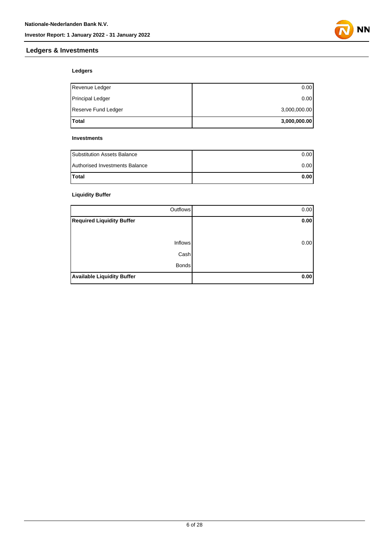



### **Ledgers**

| <b>Total</b>            | 3,000,000.00 |
|-------------------------|--------------|
| Reserve Fund Ledger     | 3,000,000.00 |
| <b>Principal Ledger</b> | 0.00         |
| Revenue Ledger          | 0.00         |

#### **Investments**

| <b>Substitution Assets Balance</b> | 0.001 |
|------------------------------------|-------|
| Authorised Investments Balance     | 0.001 |
| <b>Total</b>                       | 0.00  |

#### **Liquidity Buffer**

| Outflows                          | 0.00 |
|-----------------------------------|------|
| <b>Required Liquidity Buffer</b>  | 0.00 |
|                                   |      |
| <b>Inflows</b>                    | 0.00 |
| Cash                              |      |
| <b>Bonds</b>                      |      |
| <b>Available Liquidity Buffer</b> | 0.00 |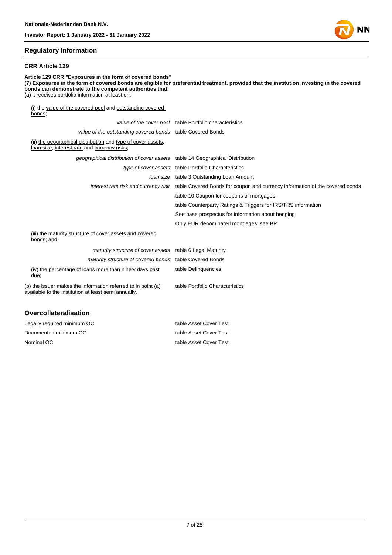#### **Regulatory Information**

#### **CRR Article 129**

**Article 129 CRR "Exposures in the form of covered bonds" (7) Exposures in the form of covered bonds are eligible for preferential treatment, provided that the institution investing in the covered bonds can demonstrate to the competent authorities that: (a)** it receives portfolio information at least on: (i) the value of the covered pool and outstanding covered bonds; value of the cover pool table Portfolio characteristics value of the outstanding covered bonds table Covered Bonds (ii) the geographical distribution and type of cover assets, loan size, interest rate and currency risks; geographical distribution of cover assets table 14 Geographical Distribution type of cover assets table Portfolio Characteristics loan size table 3 Outstanding Loan Amount

interest rate risk and currency risk table Covered Bonds for coupon and currency information of the covered bonds

table 10 Coupon for coupons of mortgages

table Counterparty Ratings & Triggers for IRS/TRS information

See base prospectus for information about hedging

Only EUR denominated mortgages: see BP

(iii) the maturity structure of cover assets and covered bonds; and

| <i>maturity structure of cover assets</i> table 6 Legal Maturity                                                      |                                 |
|-----------------------------------------------------------------------------------------------------------------------|---------------------------------|
| maturity structure of covered bonds table Covered Bonds                                                               |                                 |
| (iv) the percentage of loans more than ninety days past<br>due;                                                       | table Delinguencies             |
| (b) the issuer makes the information referred to in point (a)<br>available to the institution at least semi annually. | table Portfolio Characteristics |

#### **Overcollateralisation**

| Legally required minimum OC | table Asset Cover Test |
|-----------------------------|------------------------|
| Documented minimum OC       | table Asset Cover Test |
| Nominal OC                  | table Asset Cover Test |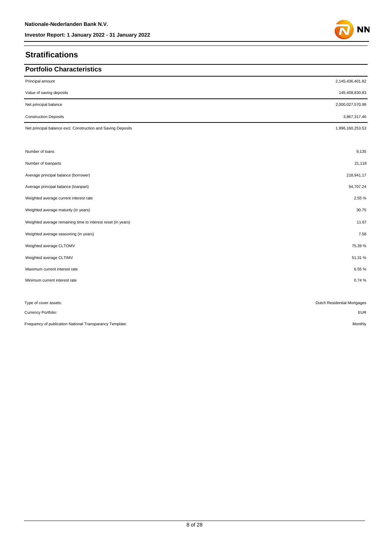### **Stratifications**

| <b>Portfolio Characteristics</b>                             |                             |
|--------------------------------------------------------------|-----------------------------|
| Principal amount                                             | 2,145,436,401.82            |
| Value of saving deposits                                     | 145,408,830.83              |
| Net principal balance                                        | 2,000,027,570.99            |
| <b>Construction Deposits</b>                                 | 3,867,317.46                |
| Net principal balance excl. Construction and Saving Deposits | 1,996,160,253.53            |
|                                                              |                             |
| Number of loans                                              | 9,135                       |
| Number of loanparts                                          | 21,118                      |
| Average principal balance (borrower)                         | 218,941.17                  |
| Average principal balance (loanpart)                         | 94,707.24                   |
| Weighted average current interest rate                       | 2.55 %                      |
| Weighted average maturity (in years)                         | 30.75                       |
| Weighted average remaining time to interest reset (in years) | 11.67                       |
| Weighted average seasoning (in years)                        | 7.58                        |
| Weighted average CLTOMV                                      | 75.39%                      |
| Weighted average CLTIMV                                      | 51.31%                      |
| Maximum current interest rate                                | 6.55%                       |
| Minimum current interest rate                                | 0.74%                       |
|                                                              |                             |
| Type of cover assets:                                        | Dutch Residential Mortgages |
| Currency Portfolio:                                          | <b>EUR</b>                  |

Frequency of publication National Transparancy Template: Monthly and the material of the material of the material of the material of the material of the material of the monthly Monthly

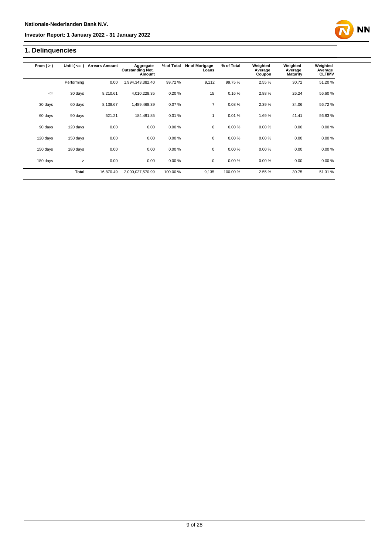## **1. Delinquencies**

| From $(>)$ | Until $($ <= $)$ | <b>Arrears Amount</b> | Aggregate<br><b>Outstanding Not.</b><br>Amount | % of Total | Nr of Mortgage<br>Loans | % of Total | Weighted<br>Average<br>Coupon | Weighted<br>Average<br><b>Maturity</b> | Weighted<br>Average<br><b>CLTIMV</b> |
|------------|------------------|-----------------------|------------------------------------------------|------------|-------------------------|------------|-------------------------------|----------------------------------------|--------------------------------------|
|            | Performing       | 0.00                  | 1,994,343,382.40                               | 99.72%     | 9,112                   | 99.75%     | 2.55 %                        | 30.72                                  | 51.20%                               |
| $\leq$     | 30 days          | 8,210.61              | 4,010,228.35                                   | 0.20%      | 15                      | 0.16%      | 2.88%                         | 26.24                                  | 56.60%                               |
| 30 days    | 60 days          | 8,138.67              | 1,489,468.39                                   | 0.07%      | $\overline{7}$          | 0.08%      | 2.39 %                        | 34.06                                  | 56.72%                               |
| 60 days    | 90 days          | 521.21                | 184.491.85                                     | 0.01%      | 1                       | 0.01%      | 1.69%                         | 41.41                                  | 56.83%                               |
| 90 days    | 120 days         | 0.00                  | 0.00                                           | 0.00%      | $\mathbf 0$             | 0.00%      | 0.00%                         | 0.00                                   | 0.00%                                |
| 120 days   | 150 days         | 0.00                  | 0.00                                           | 0.00%      | $\mathbf 0$             | 0.00%      | 0.00%                         | 0.00                                   | 0.00%                                |
| 150 days   | 180 days         | 0.00                  | 0.00                                           | 0.00%      | $\mathbf 0$             | 0.00%      | 0.00%                         | 0.00                                   | 0.00%                                |
| 180 days   | $\geq$           | 0.00                  | 0.00                                           | 0.00%      | $\mathbf 0$             | 0.00%      | 0.00%                         | 0.00                                   | 0.00%                                |
|            | <b>Total</b>     | 16.870.49             | 2,000,027,570.99                               | 100.00 %   | 9,135                   | 100.00%    | 2.55 %                        | 30.75                                  | 51.31 %                              |

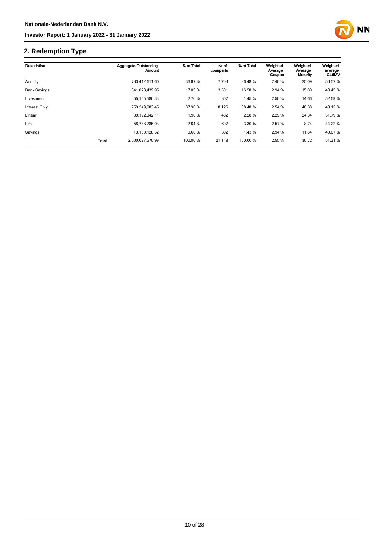

## **2. Redemption Type**

| Description         |              | <b>Aggregate Outstanding</b><br>Amount | % of Total | Nr of<br>Loanparts | % of Total | Weighted<br>Average<br>Coupon | Weighted<br>Average<br>Maturity | Weighted<br>average<br><b>CLtIMV</b> |
|---------------------|--------------|----------------------------------------|------------|--------------------|------------|-------------------------------|---------------------------------|--------------------------------------|
| Annuity             |              | 733.412.611.60                         | 36.67 %    | 7.703              | 36.48 %    | 2.40 %                        | 25.09                           | 56.57 %                              |
| <b>Bank Savings</b> |              | 341,078,439.95                         | 17.05 %    | 3,501              | 16.58 %    | 2.94 %                        | 15.80                           | 48.45 %                              |
| Investment          |              | 55, 155, 580. 33                       | 2.76 %     | 307                | 1.45%      | 2.50 %                        | 14.66                           | 52.69 %                              |
| Interest Only       |              | 759.249.983.45                         | 37.96 %    | 8,126              | 38.48 %    | 2.54 %                        | 46.38                           | 48.12%                               |
| Linear              |              | 39, 192, 042. 11                       | 1.96 %     | 482                | 2.28%      | 2.29%                         | 24.34                           | 51.79 %                              |
| Life                |              | 58.788.785.03                          | 2.94 %     | 697                | 3.30 %     | 2.57 %                        | 8.74                            | 44.22 %                              |
| Savings             |              | 13, 150, 128.52                        | 0.66%      | 302                | 1.43 %     | 2.94 %                        | 11.64                           | 40.67%                               |
|                     | <b>Total</b> | 2,000,027,570.99                       | 100.00 %   | 21,118             | 100.00 %   | 2.55 %                        | 30.72                           | 51.31 %                              |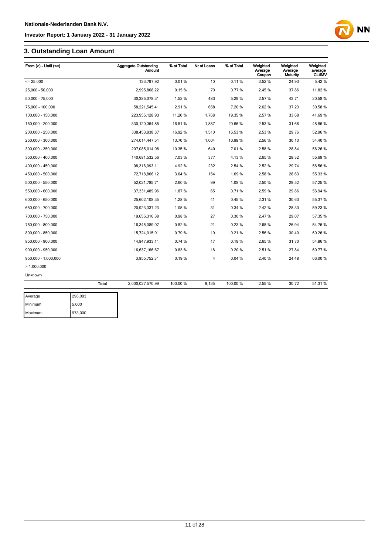## **3. Outstanding Loan Amount**

| From $(>)$ - Until $(<=)$ |              | <b>Aggregate Outstanding</b><br>Amount | % of Total | Nr of Loans | % of Total | Weighted<br>Average<br>Coupon | Weighted<br>Average<br>Maturity | Weighted<br>average<br><b>CLtIMV</b> |
|---------------------------|--------------|----------------------------------------|------------|-------------|------------|-------------------------------|---------------------------------|--------------------------------------|
| $= 25.000$                |              | 133,797.92                             | 0.01%      | 10          | 0.11%      | 3.52 %                        | 24.93                           | 5.42%                                |
| 25,000 - 50,000           |              | 2,995,868.22                           | 0.15%      | 70          | 0.77%      | 2.45 %                        | 37.86                           | 11.82 %                              |
| 50,000 - 75,000           |              | 30,385,078.31                          | 1.52%      | 483         | 5.29%      | 2.57%                         | 43.71                           | 20.58 %                              |
| 75,000 - 100,000          |              | 58,221,545.41                          | 2.91%      | 658         | 7.20%      | 2.62%                         | 37.23                           | 30.58 %                              |
| 100,000 - 150,000         |              | 223,955,128.93                         | 11.20 %    | 1,768       | 19.35 %    | 2.57%                         | 33.68                           | 41.69%                               |
| 150,000 - 200,000         |              | 330, 120, 364.85                       | 16.51 %    | 1,887       | 20.66%     | 2.53 %                        | 31.66                           | 48.86 %                              |
| 200,000 - 250,000         |              | 338,453,938.37                         | 16.92 %    | 1,510       | 16.53%     | 2.53 %                        | 29.76                           | 52.96 %                              |
| 250,000 - 300,000         |              | 274,014,447.51                         | 13.70 %    | 1,004       | 10.99%     | 2.56 %                        | 30.10                           | 54.40 %                              |
| 300,000 - 350,000         |              | 207,085,014.98                         | 10.35 %    | 640         | 7.01%      | 2.58 %                        | 28.84                           | 56.26 %                              |
| 350,000 - 400,000         |              | 140,681,532.56                         | 7.03%      | 377         | 4.13%      | 2.65%                         | 28.32                           | 55.69 %                              |
| 400.000 - 450.000         |              | 98,316,093.11                          | 4.92%      | 232         | 2.54 %     | 2.52 %                        | 29.74                           | 56.56 %                              |
| 450,000 - 500,000         |              | 72,718,866.12                          | 3.64 %     | 154         | 1.69%      | 2.58 %                        | 28.63                           | 55.33 %                              |
| 500,000 - 550,000         |              | 52,021,785.71                          | 2.60%      | 99          | 1.08%      | 2.50 %                        | 29.52                           | 57.25 %                              |
| 550,000 - 600,000         |              | 37,331,489.96                          | 1.87%      | 65          | 0.71%      | 2.59%                         | 29.86                           | 56.94 %                              |
| 600.000 - 650.000         |              | 25,602,108.35                          | 1.28%      | 41          | 0.45%      | 2.31%                         | 30.63                           | 55.37 %                              |
| 650,000 - 700,000         |              | 20,923,337.23                          | 1.05%      | 31          | 0.34 %     | 2.42 %                        | 28.30                           | 59.23 %                              |
| 700,000 - 750,000         |              | 19,656,316.38                          | 0.98%      | 27          | 0.30%      | 2.47%                         | 29.07                           | 57.35 %                              |
| 750,000 - 800,000         |              | 16,345,089.07                          | 0.82%      | 21          | 0.23%      | 2.68%                         | 26.94                           | 54.76 %                              |
| 800,000 - 850,000         |              | 15,724,915.91                          | 0.79%      | 19          | 0.21%      | 2.56 %                        | 30.40                           | 60.26 %                              |
| 850,000 - 900,000         |              | 14,847,933.11                          | 0.74%      | 17          | 0.19%      | 2.65%                         | 31.70                           | 54.86 %                              |
| 900,000 - 950,000         |              | 16,637,166.67                          | 0.83%      | 18          | 0.20%      | 2.51%                         | 27.84                           | 60.77 %                              |
| 950,000 - 1,000,000       |              | 3,855,752.31                           | 0.19%      | 4           | 0.04%      | 2.40%                         | 24.48                           | 66.00 %                              |
| >1.000.000                |              |                                        |            |             |            |                               |                                 |                                      |
| Unknown                   |              |                                        |            |             |            |                               |                                 |                                      |
|                           | <b>Total</b> | 2,000,027,570.99                       | 100.00 %   | 9,135       | 100.00 %   | 2.55 %                        | 30.72                           | 51.31 %                              |
| Average                   | 296,083      |                                        |            |             |            |                               |                                 |                                      |

| Average | 296,083 |
|---------|---------|
| Minimum | 5.000   |
| Maximum | 973,000 |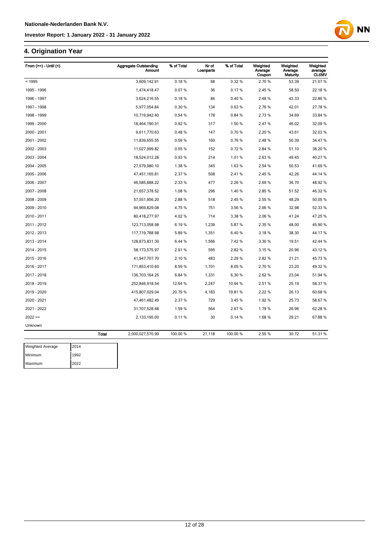## **4. Origination Year**

| From $(>=) -$ Until $($ |              | <b>Aggregate Outstanding</b><br><b>Amount</b> | % of Total | Nr of<br>Loanparts | % of Total | Weighted<br>Average<br>Coupon | Weighted<br>Average<br>Maturity | Weighted<br>average<br><b>CLtIMV</b> |
|-------------------------|--------------|-----------------------------------------------|------------|--------------------|------------|-------------------------------|---------------------------------|--------------------------------------|
| < 1995                  |              | 3,609,142.91                                  | 0.18%      | 68                 | 0.32%      | 2.70 %                        | 53.39                           | 21.07%                               |
| 1995 - 1996             |              | 1,474,418.47                                  | 0.07%      | 36                 | 0.17%      | 2.45 %                        | 58.50                           | 22.18%                               |
| 1996 - 1997             |              | 3,624,216.55                                  | 0.18%      | 84                 | 0.40%      | 2.48%                         | 43.33                           | 22.86%                               |
| 1997 - 1998             |              | 5,977,054.84                                  | 0.30%      | 134                | 0.63%      | 2.76%                         | 42.01                           | 27.78%                               |
| 1998 - 1999             |              | 10,719,942.40                                 | 0.54 %     | 178                | 0.84 %     | 2.73%                         | 34.69                           | 33.84 %                              |
| 1999 - 2000             |              | 18,464,190.31                                 | 0.92%      | 317                | 1.50%      | 2.47%                         | 46.02                           | 32.09 %                              |
| 2000 - 2001             |              | 9,611,770.63                                  | 0.48%      | 147                | 0.70%      | 2.20%                         | 43.61                           | 32.03 %                              |
| 2001 - 2002             |              | 11,839,655.55                                 | 0.59%      | 160                | 0.76%      | 2.48%                         | 50.39                           | 34.47 %                              |
| 2002 - 2003             |              | 11,027,999.82                                 | 0.55 %     | 152                | 0.72%      | 2.84 %                        | 51.10                           | 38.20 %                              |
| 2003 - 2004             |              | 18,524,012.28                                 | 0.93%      | 214                | 1.01%      | 2.63%                         | 49.45                           | 40.27%                               |
| 2004 - 2005             |              | 27,579,980.10                                 | 1.38%      | 345                | 1.63%      | 2.54 %                        | 50.53                           | 41.69%                               |
| 2005 - 2006             |              | 47,451,165.81                                 | 2.37 %     | 508                | 2.41%      | 2.45 %                        | 42.26                           | 44.14 %                              |
| 2006 - 2007             |              | 46,585,888.22                                 | 2.33 %     | 477                | 2.26 %     | 2.69%                         | 36.70                           | 48.92%                               |
| 2007 - 2008             |              | 21,657,378.52                                 | 1.08%      | 296                | 1.40%      | 2.85%                         | 51.52                           | 46.32 %                              |
| 2008 - 2009             |              | 57,551,956.20                                 | 2.88%      | 518                | 2.45 %     | 2.55 %                        | 48.29                           | 50.05%                               |
| 2009 - 2010             |              | 94,969,829.08                                 | 4.75%      | 751                | 3.56 %     | 2.66%                         | 32.98                           | 52.33 %                              |
| 2010 - 2011             |              | 80,418,277.97                                 | 4.02%      | 714                | 3.38 %     | 2.06%                         | 41.24                           | 47.25 %                              |
| 2011 - 2012             |              | 123,713,058.98                                | 6.19%      | 1,239              | 5.87%      | 2.35 %                        | 48.00                           | 45.90 %                              |
| 2012 - 2013             |              | 117,719,788.98                                | 5.89%      | 1,351              | 6.40%      | 3.18%                         | 38.30                           | 44.17%                               |
| 2013 - 2014             |              | 128,873,831.30                                | 6.44 %     | 1,566              | 7.42%      | 3.30 %                        | 19.51                           | 42.44 %                              |
| 2014 - 2015             |              | 58, 173, 575. 97                              | 2.91%      | 595                | 2.82%      | 3.15%                         | 20.96                           | 43.12%                               |
| 2015 - 2016             |              | 41,947,707.70                                 | 2.10%      | 483                | 2.29 %     | 2.82%                         | 21.21                           | 45.73%                               |
| 2016 - 2017             |              | 171,853,410.60                                | 8.59%      | 1,701              | 8.05%      | 2.70%                         | 23.20                           | 49.32 %                              |
| 2017 - 2018             |              | 136,703,164.25                                | 6.84 %     | 1,331              | 6.30%      | 2.62%                         | 23.04                           | 51.94 %                              |
| 2018 - 2019             |              | 252,846,918.54                                | 12.64 %    | 2,247              | 10.64 %    | 2.51%                         | 25.19                           | 58.37 %                              |
| 2019 - 2020             |              | 415,807,029.04                                | 20.79 %    | 4,183              | 19.81%     | 2.22 %                        | 26.13                           | 60.68 %                              |
| 2020 - 2021             |              | 47,461,482.49                                 | 2.37 %     | 729                | 3.45 %     | 1.92%                         | 25.73                           | 58.67%                               |
| 2021 - 2022             |              | 31,707,528.48                                 | 1.59%      | 564                | 2.67%      | 1.79%                         | 26.96                           | 62.28%                               |
| $2022 ==$               |              | 2,133,195.00                                  | 0.11%      | 30                 | 0.14%      | 1.68%                         | 29.21                           | 67.88%                               |
| Unknown                 |              |                                               |            |                    |            |                               |                                 |                                      |
|                         | <b>Total</b> | 2,000,027,570.99                              | 100.00 %   | 21,118             | 100.00 %   | 2.55 %                        | 30.72                           | 51.31 %                              |

| <b>Weighted Average</b> | 2014 |
|-------------------------|------|
| Minimum                 | 1992 |
| Maximum                 | 2022 |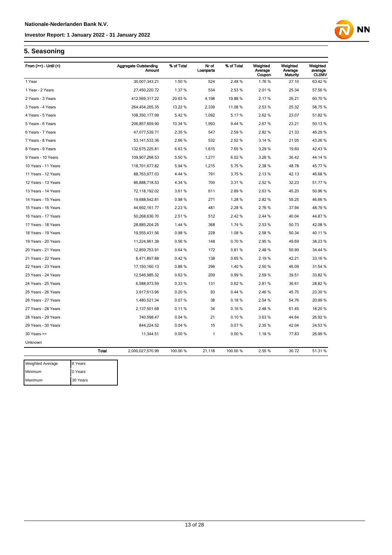

### **5. Seasoning**

| From $(>=)$ - Until $($ |              | <b>Aggregate Outstanding</b><br>Amount | % of Total | Nr of<br>Loanparts | % of Total | Weighted<br>Average<br>Coupon | Weighted<br>Average<br><b>Maturity</b> | Weighted<br>average<br><b>CLtIMV</b> |
|-------------------------|--------------|----------------------------------------|------------|--------------------|------------|-------------------------------|----------------------------------------|--------------------------------------|
| 1 Year                  |              | 30,007,343.21                          | 1.50 %     | 524                | 2.48%      | 1.76%                         | 27.10                                  | 63.42 %                              |
| 1 Year - 2 Years        |              | 27,450,220.72                          | 1.37%      | 534                | 2.53%      | 2.01%                         | 25.34                                  | 57.56 %                              |
| 2 Years - 3 Years       |              | 412,569,317.22                         | 20.63%     | 4,198              | 19.88%     | 2.17%                         | 26.21                                  | 60.70 %                              |
| 3 Years - 4 Years       |              | 264,454,205.35                         | 13.22 %    | 2,339              | 11.08%     | 2.53%                         | 25.32                                  | 58.75 %                              |
| 4 Years - 5 Years       |              | 108,350,177.99                         | 5.42%      | 1,092              | 5.17%      | 2.62%                         | 23.07                                  | 51.82 %                              |
| 5 Years - 6 Years       |              | 206,857,659.90                         | 10.34 %    | 1,993              | 9.44 %     | 2.67%                         | 23.21                                  | 50.13 %                              |
| 6 Years - 7 Years       |              | 47,077,539.71                          | 2.35 %     | 547                | 2.59%      | 2.82%                         | 21.33                                  | 46.29 %                              |
| 7 Years - 8 Years       |              | 53, 141, 533. 36                       | 2.66%      | 532                | 2.52%      | 3.14 %                        | 21.05                                  | 43.26 %                              |
| 8 Years - 9 Years       |              | 132,675,225.81                         | 6.63%      | 1,615              | 7.65%      | 3.29 %                        | 19.60                                  | 42.43 %                              |
| 9 Years - 10 Years      |              | 109,907,268.53                         | 5.50 %     | 1,271              | 6.02%      | 3.26 %                        | 36.42                                  | 44.14 %                              |
| 10 Years - 11 Years     |              | 118,701,677.82                         | 5.94 %     | 1,215              | 5.75%      | 2.38%                         | 48.78                                  | 45.77 %                              |
| 11 Years - 12 Years     |              | 88,763,977.03                          | 4.44 %     | 791                | 3.75 %     | 2.13%                         | 42.13                                  | 46.68%                               |
| 12 Years - 13 Years     |              | 86,888,718.53                          | 4.34 %     | 700                | 3.31%      | 2.52%                         | 32.23                                  | 51.77 %                              |
| 13 Years - 14 Years     |              | 72,118,192.02                          | 3.61%      | 611                | 2.89%      | 2.63%                         | 45.20                                  | 50.96 %                              |
| 14 Years - 15 Years     |              | 19,688,542.81                          | 0.98%      | 271                | 1.28%      | 2.82%                         | 55.25                                  | 46.66%                               |
| 15 Years - 16 Years     |              | 44,692,161.77                          | 2.23 %     | 481                | 2.28%      | 2.76%                         | 37.94                                  | 48.79 %                              |
| 16 Years - 17 Years     |              | 50,268,636.70                          | 2.51%      | 512                | 2.42%      | 2.44 %                        | 40.04                                  | 44.87%                               |
| 17 Years - 18 Years     |              | 28,885,204.25                          | 1.44 %     | 368                | 1.74 %     | 2.53%                         | 50.73                                  | 42.08%                               |
| 18 Years - 19 Years     |              | 19,555,431.56                          | 0.98%      | 228                | 1.08%      | 2.58%                         | 50.34                                  | 40.11 %                              |
| 19 Years - 20 Years     |              | 11,224,961.39                          | 0.56%      | 148                | 0.70%      | 2.95%                         | 49.69                                  | 38.23 %                              |
| 20 Years - 21 Years     |              | 12,859,753.91                          | 0.64%      | 172                | 0.81%      | 2.48%                         | 50.90                                  | 34.44 %                              |
| 21 Years - 22 Years     |              | 8,471,897.88                           | 0.42%      | 138                | 0.65%      | 2.19%                         | 42.21                                  | 33.16 %                              |
| 22 Years - 23 Years     |              | 17, 150, 160. 13                       | 0.86%      | 296                | 1.40 %     | 2.50 %                        | 46.09                                  | 31.54 %                              |
| 23 Years - 24 Years     |              | 12,546,985.32                          | 0.63%      | 209                | 0.99%      | 2.59%                         | 39.51                                  | 33.82 %                              |
| 24 Years - 25 Years     |              | 6,588,973.59                           | 0.33%      | 131                | 0.62%      | 2.81%                         | 36.61                                  | 28.82 %                              |
| 25 Years - 26 Years     |              | 3,917,613.96                           | 0.20%      | 93                 | 0.44%      | 2.46%                         | 45.75                                  | 23.30 %                              |
| 26 Years - 27 Years     |              | 1,480,521.34                           | 0.07%      | 38                 | 0.18%      | 2.54 %                        | 54.76                                  | 20.99 %                              |
| 27 Years - 28 Years     |              | 2,137,501.68                           | 0.11%      | 34                 | 0.16%      | 2.48%                         | 61.45                                  | 18.20 %                              |
| 28 Years - 29 Years     |              | 740,598.47                             | 0.04%      | 21                 | 0.10%      | 3.63%                         | 44.64                                  | 26.92 %                              |
| 29 Years - 30 Years     |              | 844,224.52                             | 0.04%      | 15                 | 0.07%      | 2.35 %                        | 42.04                                  | 24.53 %                              |
| $30$ Years $>=$         |              | 11,344.51                              | 0.00%      | $\mathbf{1}$       | 0.00%      | 1.18%                         | 77.83                                  | 26.99%                               |
| Unknown                 |              |                                        |            |                    |            |                               |                                        |                                      |
|                         | <b>Total</b> | 2,000,027,570.99                       | 100.00 %   | 21,118             | 100.00 %   | 2.55 %                        | 30.72                                  | 51.31 %                              |
| <b>Weighted Average</b> | 8 Years      |                                        |            |                    |            |                               |                                        |                                      |

Minimum 0 Years Maximum 30 Years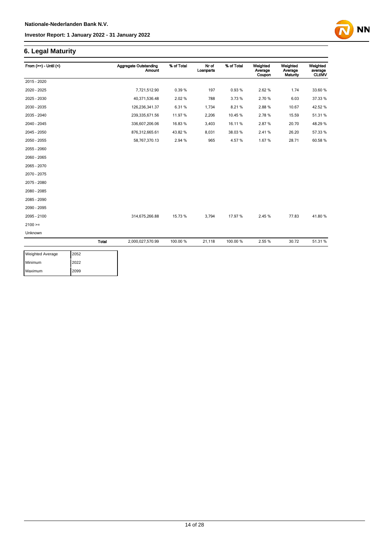### **6. Legal Maturity**

| From $(>=) -$ Until $($ |              | <b>Aggregate Outstanding</b><br><b>Amount</b> | % of Total | Nr of<br>Loanparts | % of Total | Weighted<br>Average<br>Coupon | Weighted<br>Average<br>Maturity | Weighted<br>average<br><b>CLtIMV</b> |
|-------------------------|--------------|-----------------------------------------------|------------|--------------------|------------|-------------------------------|---------------------------------|--------------------------------------|
| 2015 - 2020             |              |                                               |            |                    |            |                               |                                 |                                      |
| 2020 - 2025             |              | 7,721,512.90                                  | 0.39%      | 197                | 0.93%      | 2.62%                         | 1.74                            | 33.60 %                              |
| 2025 - 2030             |              | 40,371,536.48                                 | 2.02%      | 788                | 3.73%      | 2.70%                         | 6.03                            | 37.33 %                              |
| 2030 - 2035             |              | 126,236,341.37                                | 6.31%      | 1,734              | 8.21%      | 2.88%                         | 10.67                           | 42.52 %                              |
| 2035 - 2040             |              | 239,335,671.56                                | 11.97%     | 2,206              | 10.45%     | 2.78%                         | 15.59                           | 51.31 %                              |
| 2040 - 2045             |              | 336,607,206.06                                | 16.83%     | 3,403              | 16.11%     | 2.87%                         | 20.70                           | 48.29 %                              |
| 2045 - 2050             |              | 876,312,665.61                                | 43.82%     | 8,031              | 38.03%     | 2.41%                         | 26.20                           | 57.33 %                              |
| 2050 - 2055             |              | 58,767,370.13                                 | 2.94 %     | 965                | 4.57%      | 1.67%                         | 28.71                           | 60.58%                               |
| 2055 - 2060             |              |                                               |            |                    |            |                               |                                 |                                      |
| 2060 - 2065             |              |                                               |            |                    |            |                               |                                 |                                      |
| 2065 - 2070             |              |                                               |            |                    |            |                               |                                 |                                      |
| 2070 - 2075             |              |                                               |            |                    |            |                               |                                 |                                      |
| 2075 - 2080             |              |                                               |            |                    |            |                               |                                 |                                      |
| 2080 - 2085             |              |                                               |            |                    |            |                               |                                 |                                      |
| 2085 - 2090             |              |                                               |            |                    |            |                               |                                 |                                      |
| 2090 - 2095             |              |                                               |            |                    |            |                               |                                 |                                      |
| 2095 - 2100             |              | 314,675,266.88                                | 15.73 %    | 3,794              | 17.97%     | 2.45 %                        | 77.83                           | 41.80%                               |
| $2100 =$                |              |                                               |            |                    |            |                               |                                 |                                      |
| Unknown                 |              |                                               |            |                    |            |                               |                                 |                                      |
|                         | <b>Total</b> | 2,000,027,570.99                              | 100.00 %   | 21,118             | 100.00%    | 2.55 %                        | 30.72                           | 51.31 %                              |

| <b>Weighted Average</b> | 2052 |
|-------------------------|------|
| Minimum                 | 2022 |
| Maximum                 | 2099 |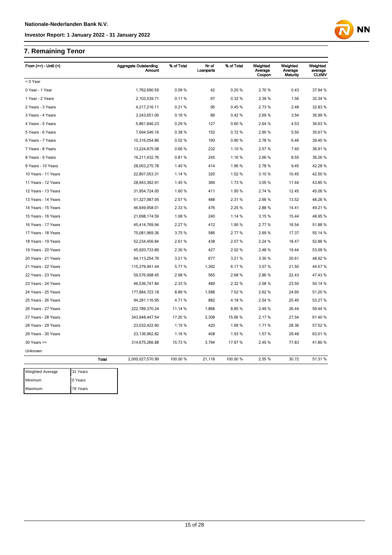## **7. Remaining Tenor**

| From $(>=)$ - Until $($ |          |              | <b>Aggregate Outstanding</b><br><b>Amount</b> | % of Total | Nr of<br>Loanparts | % of Total | Weighted<br>Average<br>Coupon | Weighted<br>Average<br>Maturity | Weighted<br>average<br><b>CLtIMV</b> |
|-------------------------|----------|--------------|-----------------------------------------------|------------|--------------------|------------|-------------------------------|---------------------------------|--------------------------------------|
| < 0 Year                |          |              |                                               |            |                    |            |                               |                                 |                                      |
| 0 Year - 1 Year         |          |              | 1,762,690.59                                  | 0.09%      | 42                 | 0.20%      | 2.70%                         | 0.43                            | 37.94 %                              |
| 1 Year - 2 Years        |          |              | 2,103,539.71                                  | 0.11%      | 67                 | 0.32%      | 2.39%                         | 1.56                            | 32.34 %                              |
| 2 Years - 3 Years       |          |              | 4,217,216.11                                  | 0.21%      | 95                 | 0.45%      | 2.73%                         | 2.48                            | 32.83 %                              |
| 3 Years - 4 Years       |          |              | 3,243,651.06                                  | 0.16%      | 89                 | 0.42%      | 2.69%                         | 3.54                            | 36.99 %                              |
| 4 Years - 5 Years       |          |              | 5,861,846.23                                  | 0.29%      | 127                | 0.60%      | 2.64 %                        | 4.53                            | 36.63 %                              |
| 5 Years - 6 Years       |          |              | 7,694,546.16                                  | 0.38%      | 152                | 0.72%      | 2.90%                         | 5.50                            | 35.67 %                              |
| 6 Years - 7 Years       |          |              | 10,316,054.86                                 | 0.52%      | 190                | 0.90%      | 2.78%                         | 6.46                            | 39.40 %                              |
| 7 Years - 8 Years       |          |              | 13,224,875.08                                 | 0.66%      | 232                | 1.10 %     | 2.57 %                        | 7.40                            | 36.91 %                              |
| 8 Years - 9 Years       |          |              | 16,211,432.76                                 | 0.81%      | 245                | 1.16 %     | 2.66 %                        | 8.55                            | 36.26 %                              |
| 9 Years - 10 Years      |          |              | 28,003,275.78                                 | 1.40%      | 414                | 1.96%      | 2.78%                         | 9.45                            | 42.28 %                              |
| 10 Years - 11 Years     |          |              | 22,807,053.31                                 | 1.14 %     | 320                | 1.52 %     | 3.10%                         | 10.45                           | 42.50 %                              |
| 11 Years - 12 Years     |          |              | 28,943,362.91                                 | 1.45 %     | 366                | 1.73%      | 3.05 %                        | 11.44                           | 43.85 %                              |
| 12 Years - 13 Years     |          |              | 31,954,724.05                                 | 1.60%      | 411                | 1.95 %     | 2.74 %                        | 12.45                           | 45.06%                               |
| 13 Years - 14 Years     |          |              | 51,327,987.05                                 | 2.57 %     | 488                | 2.31 %     | 2.66%                         | 13.52                           | 48.26 %                              |
| 14 Years - 15 Years     |          |              | 46,649,958.01                                 | 2.33 %     | 476                | 2.25 %     | 2.88%                         | 14.41                           | 49.21%                               |
| 15 Years - 16 Years     |          |              | 21,698,174.59                                 | 1.08%      | 240                | 1.14 %     | 3.15 %                        | 15.44                           | 48.95 %                              |
| 16 Years - 17 Years     |          |              | 45,414,769.94                                 | 2.27 %     | 412                | 1.95%      | 2.77%                         | 16.54                           | 51.88%                               |
| 17 Years - 18 Years     |          |              | 75,081,969.36                                 | 3.75 %     | 586                | 2.77 %     | 2.69%                         | 17.37                           | 55.14 %                              |
| 18 Years - 19 Years     |          |              | 52,234,456.84                                 | 2.61%      | 438                | 2.07%      | 2.24 %                        | 18.47                           | 52.86 %                              |
| 19 Years - 20 Years     |          |              | 45,920,733.89                                 | 2.30%      | 427                | 2.02%      | 2.48%                         | 19.44                           | 53.09 %                              |
| 20 Years - 21 Years     |          |              | 64, 113, 254. 76                              | 3.21 %     | 677                | 3.21%      | 3.30 %                        | 20.61                           | 48.92 %                              |
| 21 Years - 22 Years     |          |              | 115,379,941.44                                | 5.77%      | 1,302              | 6.17%      | 3.07%                         | 21.50                           | 44.57 %                              |
| 22 Years - 23 Years     |          |              | 59,576,998.45                                 | 2.98%      | 565                | 2.68%      | 2.86%                         | 22.43                           | 47.43%                               |
| 23 Years - 24 Years     |          |              | 46,536,747.84                                 | 2.33 %     | 489                | 2.32 %     | 2.58 %                        | 23.50                           | 50.14 %                              |
| 24 Years - 25 Years     |          |              | 177,884,723.18                                | 8.89%      | 1,588              | 7.52 %     | 2.62%                         | 24.60                           | 51.20 %                              |
| 25 Years - 26 Years     |          |              | 94,281,116.95                                 | 4.71%      | 882                | 4.18%      | 2.54 %                        | 25.40                           | 53.27 %                              |
| 26 Years - 27 Years     |          |              | 222,789,370.24                                | 11.14 %    | 1,868              | 8.85%      | 2.49%                         | 26.44                           | 59.44 %                              |
| 27 Years - 28 Years     |          |              | 343,948,447.54                                | 17.20 %    | 3,308              | 15.66%     | 2.17%                         | 27.54                           | 61.40%                               |
| 28 Years - 29 Years     |          |              | 23,032,422.60                                 | 1.15%      | 420                | 1.99%      | 1.71%                         | 28.36                           | 57.52 %                              |
| 29 Years - 30 Years     |          |              | 23, 136, 962.82                               | 1.16%      | 408                | 1.93%      | 1.57 %                        | 29.48                           | 63.01%                               |
| $30$ Years $>=$         |          |              | 314,675,266.88                                | 15.73 %    | 3,794              | 17.97 %    | 2.45 %                        | 77.83                           | 41.80 %                              |
| Unknown                 |          |              |                                               |            |                    |            |                               |                                 |                                      |
|                         |          | <b>Total</b> | 2,000,027,570.99                              | 100.00 %   | 21,118             | 100.00%    | 2.55 %                        | 30.72                           | 51.31 %                              |
| <b>Weighted Average</b> | 31 Years |              |                                               |            |                    |            |                               |                                 |                                      |
| Minimum                 | 0 Years  |              |                                               |            |                    |            |                               |                                 |                                      |
| Maximum                 | 78 Years |              |                                               |            |                    |            |                               |                                 |                                      |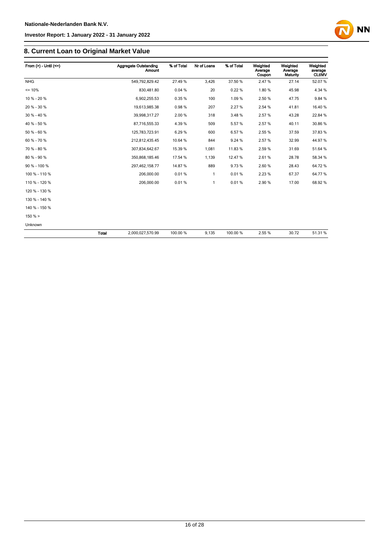

| From $(>) -$ Until $(<=)$ |       | Aggregate Outstanding<br><b>Amount</b> | % of Total | Nr of Loans  | % of Total | Weighted<br>Average<br>Coupon | Weighted<br>Average<br>Maturity | Weighted<br>average<br><b>CLtIMV</b> |
|---------------------------|-------|----------------------------------------|------------|--------------|------------|-------------------------------|---------------------------------|--------------------------------------|
| <b>NHG</b>                |       | 549,792,829.42                         | 27.49%     | 3.426        | 37.50 %    | 2.47%                         | 27.14                           | 52.07%                               |
| $= 10%$                   |       | 830,481.80                             | 0.04%      | 20           | 0.22%      | 1.80%                         | 45.98                           | 4.34 %                               |
| 10 % - 20 %               |       | 6,902,255.53                           | 0.35%      | 100          | 1.09%      | 2.50%                         | 47.75                           | 9.84 %                               |
| 20 % - 30 %               |       | 19,613,985.38                          | 0.98%      | 207          | 2.27%      | 2.54 %                        | 41.81                           | 16.40 %                              |
| 30 % - 40 %               |       | 39,998,317.27                          | 2.00%      | 318          | 3.48%      | 2.57%                         | 43.28                           | 22.84 %                              |
| 40 % - 50 %               |       | 87,716,555.33                          | 4.39%      | 509          | 5.57%      | 2.57%                         | 40.11                           | 30.86 %                              |
| 50 % - 60 %               |       | 125,783,723.91                         | 6.29%      | 600          | 6.57%      | 2.55 %                        | 37.59                           | 37.83 %                              |
| 60 % - 70 %               |       | 212,812,435.45                         | 10.64 %    | 844          | 9.24 %     | 2.57%                         | 32.99                           | 44.97%                               |
| 70 % - 80 %               |       | 307,834,642.67                         | 15.39 %    | 1,081        | 11.83%     | 2.59%                         | 31.69                           | 51.64 %                              |
| 80 % - 90 %               |       | 350,868,185.46                         | 17.54 %    | 1,139        | 12.47%     | 2.61%                         | 28.78                           | 58.34 %                              |
| 90 % - 100 %              |       | 297,462,158.77                         | 14.87%     | 889          | 9.73%      | 2.60%                         | 28.43                           | 64.72%                               |
| 100 % - 110 %             |       | 206,000.00                             | 0.01%      | $\mathbf{1}$ | 0.01%      | 2.23%                         | 67.37                           | 64.77%                               |
| 110 % - 120 %             |       | 206,000.00                             | 0.01%      | $\mathbf{1}$ | 0.01%      | 2.90%                         | 17.00                           | 68.92 %                              |
| 120 % - 130 %             |       |                                        |            |              |            |                               |                                 |                                      |
| 130 % - 140 %             |       |                                        |            |              |            |                               |                                 |                                      |
| 140 % - 150 %             |       |                                        |            |              |            |                               |                                 |                                      |
| 150% >                    |       |                                        |            |              |            |                               |                                 |                                      |
| Unknown                   |       |                                        |            |              |            |                               |                                 |                                      |
|                           | Total | 2,000,027,570.99                       | 100.00 %   | 9,135        | 100.00%    | 2.55 %                        | 30.72                           | 51.31 %                              |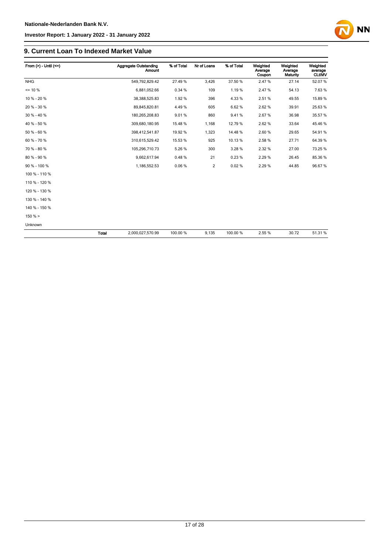

**NN** 

### **9. Current Loan To Indexed Market Value**

| From $(>)$ - Until $(<=)$ |       | <b>Aggregate Outstanding</b><br><b>Amount</b> | % of Total | Nr of Loans    | % of Total | Weighted<br>Average<br>Coupon | Weighted<br>Average<br>Maturity | Weighted<br>average<br><b>CLtIMV</b> |
|---------------------------|-------|-----------------------------------------------|------------|----------------|------------|-------------------------------|---------------------------------|--------------------------------------|
| <b>NHG</b>                |       | 549,792,829.42                                | 27.49%     | 3,426          | 37.50 %    | 2.47%                         | 27.14                           | 52.07%                               |
| $= 10 \%$                 |       | 6,881,052.66                                  | 0.34 %     | 109            | 1.19%      | 2.47%                         | 54.13                           | 7.63%                                |
| 10 % - 20 %               |       | 38,388,525.83                                 | 1.92%      | 396            | 4.33%      | 2.51%                         | 49.55                           | 15.89 %                              |
| 20 % - 30 %               |       | 89,845,820.81                                 | 4.49%      | 605            | 6.62%      | 2.62%                         | 39.91                           | 25.63%                               |
| 30 % - 40 %               |       | 180,265,208.83                                | 9.01%      | 860            | 9.41%      | 2.67%                         | 36.98                           | 35.57 %                              |
| 40 % - 50 %               |       | 309,680,180.95                                | 15.48 %    | 1,168          | 12.79%     | 2.62%                         | 33.64                           | 45.46 %                              |
| 50 % - 60 %               |       | 398,412,541.87                                | 19.92 %    | 1,323          | 14.48%     | 2.60%                         | 29.65                           | 54.91%                               |
| 60 % - 70 %               |       | 310,615,529.42                                | 15.53 %    | 925            | 10.13%     | 2.58%                         | 27.71                           | 64.39 %                              |
| 70 % - 80 %               |       | 105,296,710.73                                | 5.26 %     | 300            | 3.28 %     | 2.32 %                        | 27.00                           | 73.25 %                              |
| 80 % - 90 %               |       | 9,662,617.94                                  | 0.48%      | 21             | 0.23%      | 2.29%                         | 26.45                           | 85.36 %                              |
| 90 % - 100 %              |       | 1,186,552.53                                  | 0.06%      | $\overline{c}$ | 0.02%      | 2.29%                         | 44.85                           | 96.67%                               |
| 100 % - 110 %             |       |                                               |            |                |            |                               |                                 |                                      |
| 110 % - 120 %             |       |                                               |            |                |            |                               |                                 |                                      |
| 120 % - 130 %             |       |                                               |            |                |            |                               |                                 |                                      |
| 130 % - 140 %             |       |                                               |            |                |            |                               |                                 |                                      |
| 140 % - 150 %             |       |                                               |            |                |            |                               |                                 |                                      |
| 150%                      |       |                                               |            |                |            |                               |                                 |                                      |
| Unknown                   |       |                                               |            |                |            |                               |                                 |                                      |
|                           | Total | 2,000,027,570.99                              | 100.00 %   | 9,135          | 100.00%    | 2.55 %                        | 30.72                           | 51.31%                               |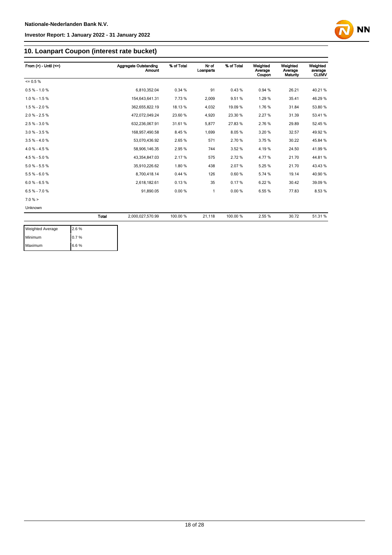

### **10. Loanpart Coupon (interest rate bucket)**

| From $(>) -$ Until $(<=)$ |              | Aggregate Outstanding<br><b>Amount</b> | % of Total | Nr of<br>Loanparts | % of Total | Weighted<br>Average<br>Coupon | Weighted<br>Average<br>Maturity | Weighted<br>average<br><b>CLtIMV</b> |
|---------------------------|--------------|----------------------------------------|------------|--------------------|------------|-------------------------------|---------------------------------|--------------------------------------|
| $= 0.5 \%$                |              |                                        |            |                    |            |                               |                                 |                                      |
| $0.5 % - 1.0 %$           |              | 6,810,352.04                           | 0.34%      | 91                 | 0.43%      | 0.94 %                        | 26.21                           | 40.21%                               |
| $1.0 \% - 1.5 \%$         |              | 154.643.641.31                         | 7.73%      | 2.009              | 9.51%      | 1.29%                         | 35.41                           | 46.29%                               |
| $1.5% - 2.0%$             |              | 362,655,822.19                         | 18.13 %    | 4,032              | 19.09 %    | 1.76%                         | 31.84                           | 53.80 %                              |
| $2.0 \% - 2.5 \%$         |              | 472,072,049.24                         | 23.60 %    | 4,920              | 23.30 %    | 2.27%                         | 31.39                           | 53.41%                               |
| $2.5% - 3.0%$             |              | 632,236,067.91                         | 31.61%     | 5,877              | 27.83%     | 2.76%                         | 29.89                           | 52.45 %                              |
| $3.0 \% - 3.5 \%$         |              | 168,957,490.58                         | 8.45%      | 1,699              | 8.05%      | 3.20%                         | 32.57                           | 49.92%                               |
| $3.5 \% - 4.0 \%$         |              | 53,070,436.92                          | 2.65%      | 571                | 2.70%      | 3.75 %                        | 30.22                           | 45.84 %                              |
| $4.0 \% - 4.5 \%$         |              | 58,906,146.35                          | 2.95 %     | 744                | 3.52%      | 4.19%                         | 24.50                           | 41.99%                               |
| $4.5% - 5.0%$             |              | 43,354,847.03                          | 2.17%      | 575                | 2.72%      | 4.77%                         | 21.70                           | 44.81%                               |
| $5.0 % - 5.5 %$           |              | 35,910,226.62                          | 1.80%      | 438                | 2.07%      | 5.25%                         | 21.70                           | 43.43%                               |
| $5.5% - 6.0%$             |              | 8,700,418.14                           | 0.44%      | 126                | 0.60%      | 5.74 %                        | 19.14                           | 40.90%                               |
| $6.0 % - 6.5 %$           |              | 2,618,182.61                           | 0.13%      | 35                 | 0.17%      | 6.22%                         | 30.42                           | 39.09 %                              |
| $6.5% - 7.0%$             |              | 91,890.05                              | 0.00%      | 1                  | 0.00%      | 6.55%                         | 77.83                           | 8.53%                                |
| $7.0 \%$ >                |              |                                        |            |                    |            |                               |                                 |                                      |
| Unknown                   |              |                                        |            |                    |            |                               |                                 |                                      |
|                           | <b>Total</b> | 2,000,027,570.99                       | 100.00 %   | 21,118             | 100.00%    | 2.55%                         | 30.72                           | 51.31 %                              |

| <b>Weighted Average</b> | 2.6% |
|-------------------------|------|
| Minimum                 | 0.7% |
| Maximum                 | 6.6% |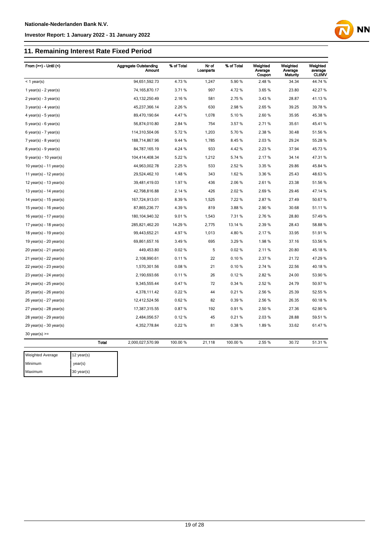## **11. Remaining Interest Rate Fixed Period**

| From $(>=) -$ Until $($     |              | <b>Aggregate Outstanding</b><br>Amount | % of Total | Nr of<br>Loanparts | % of Total | Weighted<br>Average<br>Coupon | Weighted<br>Average<br>Maturity | Weighted<br>average<br><b>CLtIMV</b> |
|-----------------------------|--------------|----------------------------------------|------------|--------------------|------------|-------------------------------|---------------------------------|--------------------------------------|
| $<$ 1 year(s)               |              | 94,651,592.73                          | 4.73%      | 1,247              | 5.90%      | 2.48%                         | 34.34                           | 44.74 %                              |
| 1 year(s) - $2$ year(s)     |              | 74, 165, 870. 17                       | 3.71 %     | 997                | 4.72%      | 3.65%                         | 23.80                           | 42.27 %                              |
| $2$ year(s) - $3$ year(s)   |              | 43, 132, 250.49                        | 2.16%      | 581                | 2.75 %     | 3.43%                         | 28.87                           | 41.13%                               |
| $3$ year(s) - 4 year(s)     |              | 45,237,366.14                          | 2.26%      | 630                | 2.98%      | 2.65%                         | 39.25                           | 39.78 %                              |
| $4$ year(s) - $5$ year(s)   |              | 89,470,190.64                          | 4.47%      | 1,078              | 5.10%      | 2.60%                         | 35.95                           | 45.38 %                              |
| $5$ year(s) - 6 year(s)     |              | 56,874,010.80                          | 2.84 %     | 754                | 3.57%      | 2.71%                         | 35.61                           | 45.41%                               |
| $6$ year(s) - 7 year(s)     |              | 114,310,504.06                         | 5.72%      | 1,203              | 5.70%      | 2.38 %                        | 30.48                           | 51.56 %                              |
| $7$ year(s) - 8 year(s)     |              | 188,714,867.96                         | 9.44 %     | 1,785              | 8.45%      | 2.03%                         | 29.24                           | 55.28 %                              |
| $8$ year(s) - $9$ year(s)   |              | 84,787,165.19                          | 4.24 %     | 933                | 4.42%      | 2.23%                         | 37.94                           | 45.73 %                              |
| $9$ year(s) - 10 year(s)    |              | 104,414,408.34                         | 5.22 %     | 1,212              | 5.74 %     | 2.17%                         | 34.14                           | 47.31%                               |
| 10 year(s) - 11 year(s)     |              | 44,963,002.78                          | 2.25 %     | 533                | 2.52 %     | 3.35 %                        | 29.86                           | 45.84 %                              |
| 11 year(s) - $12$ year(s)   |              | 29,524,462.10                          | 1.48%      | 343                | 1.62%      | 3.36 %                        | 25.43                           | 48.63%                               |
| 12 year(s) - 13 year(s)     |              | 39,481,419.03                          | 1.97%      | 436                | 2.06%      | 2.61%                         | 23.38                           | 51.56 %                              |
| 13 year(s) - $14$ year(s)   |              | 42,798,816.88                          | 2.14 %     | 426                | 2.02%      | 2.69%                         | 29.46                           | 47.14 %                              |
| 14 year(s) - $15$ year(s)   |              | 167,724,913.01                         | 8.39%      | 1,525              | 7.22 %     | 2.87%                         | 27.49                           | 50.67%                               |
| 15 year(s) - 16 year(s)     |              | 87,865,236.77                          | 4.39%      | 819                | 3.88%      | 2.90%                         | 30.68                           | 51.11%                               |
| 16 year(s) - $17$ year(s)   |              | 180, 104, 940. 32                      | 9.01%      | 1,543              | 7.31%      | 2.76%                         | 28.80                           | 57.49 %                              |
| 17 year(s) - $18$ year(s)   |              | 285,821,462.20                         | 14.29 %    | 2,775              | 13.14 %    | 2.39%                         | 28.43                           | 58.88 %                              |
| 18 year(s) - 19 year(s)     |              | 99,443,652.21                          | 4.97%      | 1,013              | 4.80%      | 2.17%                         | 33.95                           | 51.91%                               |
| 19 year(s) - $20$ year(s)   |              | 69,861,657.16                          | 3.49%      | 695                | 3.29%      | 1.98%                         | 37.16                           | 53.56 %                              |
| 20 year(s) - 21 year(s)     |              | 449,453.80                             | 0.02%      | 5                  | 0.02%      | 2.11%                         | 20.80                           | 45.18%                               |
| $21$ year(s) - $22$ year(s) |              | 2,108,990.61                           | 0.11%      | 22                 | 0.10%      | 2.37%                         | 21.72                           | 47.29 %                              |
| 22 year(s) - 23 year(s)     |              | 1,570,301.56                           | 0.08%      | 21                 | 0.10%      | 2.74 %                        | 22.56                           | 40.18%                               |
| $23$ year(s) - $24$ year(s) |              | 2,190,693.66                           | 0.11%      | 26                 | 0.12%      | 2.82%                         | 24.00                           | 53.90 %                              |
| 24 year(s) - 25 year(s)     |              | 9,345,555.44                           | 0.47%      | 72                 | 0.34 %     | 2.52 %                        | 24.79                           | 50.97 %                              |
| $25$ year(s) - $26$ year(s) |              | 4,378,111.42                           | 0.22%      | 44                 | 0.21%      | 2.56%                         | 25.39                           | 52.55 %                              |
| 26 year(s) - 27 year(s)     |              | 12,412,524.56                          | 0.62%      | 82                 | 0.39%      | 2.56 %                        | 26.35                           | 60.18%                               |
| $27$ year(s) - $28$ year(s) |              | 17,387,315.55                          | 0.87%      | 192                | 0.91%      | 2.50%                         | 27.36                           | 62.90 %                              |
| $28$ year(s) - $29$ year(s) |              | 2,484,056.57                           | 0.12%      | 45                 | 0.21%      | 2.03%                         | 28.88                           | 59.51 %                              |
| $29$ year(s) - $30$ year(s) |              | 4,352,778.84                           | 0.22%      | 81                 | 0.38%      | 1.89%                         | 33.62                           | 61.47%                               |
| $30$ year(s) >=             |              |                                        |            |                    |            |                               |                                 |                                      |
|                             | <b>Total</b> | 2,000,027,570.99                       | 100.00 %   | 21,118             | 100.00 %   | 2.55%                         | 30.72                           | 51.31 %                              |
| Weighted Average            | 12 year(s)   |                                        |            |                    |            |                               |                                 |                                      |
|                             |              |                                        |            |                    |            |                               |                                 |                                      |

**NN** 

Minimum year(s) Maximum 30 year(s)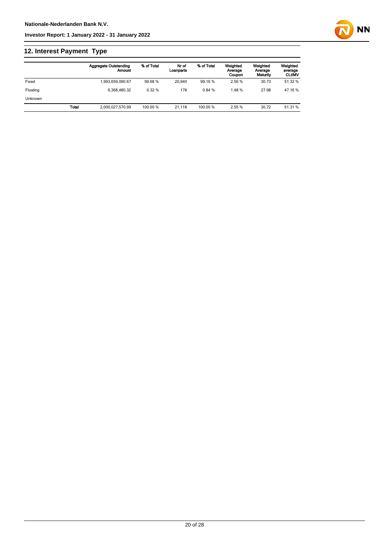## **12. Interest Payment Type**

|          |              | <b>Aggregate Outstanding</b><br>Amount | % of Total | Nr of<br>Loanparts | % of Total | Weighted<br>Average<br>Coupon | Weighted<br>Average<br>Maturity | Weighted<br>average<br><b>CLtIMV</b> |
|----------|--------------|----------------------------------------|------------|--------------------|------------|-------------------------------|---------------------------------|--------------------------------------|
| Fixed    |              | 1.993.659.090.67                       | 99.68%     | 20.940             | 99.16 %    | 2.56 %                        | 30.73                           | 51.32 %                              |
| Floating |              | 6.368.480.32                           | 0.32%      | 178                | 0.84%      | 1.48%                         | 27.98                           | 47.16 %                              |
| Unknown  |              |                                        |            |                    |            |                               |                                 |                                      |
|          | <b>Total</b> | 2.000.027.570.99                       | 100.00 %   | 21.118             | 100.00 %   | 2.55%                         | 30.72                           | 51.31 %                              |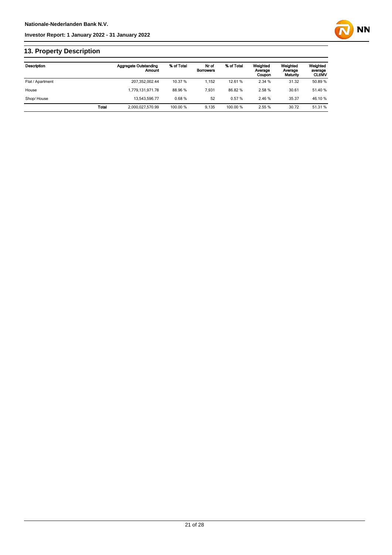

## **13. Property Description**

| Description      |       | <b>Aggregate Outstanding</b><br>Amount | % of Total | Nr of<br><b>Borrowers</b> | % of Total | Weighted<br>Average<br>Coupon | Weighted<br>Average<br>Maturity | Weighted<br>average<br><b>CLtIMV</b> |
|------------------|-------|----------------------------------------|------------|---------------------------|------------|-------------------------------|---------------------------------|--------------------------------------|
| Flat / Apartment |       | 207,352,002.44                         | 10.37 %    | 1.152                     | 12.61%     | 2.34 %                        | 31.32                           | 50.89 %                              |
| House            |       | 1.779.131.971.78                       | 88.96 %    | 7.931                     | 86.82%     | 2.58%                         | 30.61                           | 51.40 %                              |
| Shop/House       |       | 13.543.596.77                          | 0.68%      | 52                        | 0.57%      | 2.46 %                        | 35.37                           | 46.10%                               |
|                  | Total | 2,000,027,570.99                       | 100.00 %   | 9.135                     | 100.00 %   | 2.55 %                        | 30.72                           | 51.31 %                              |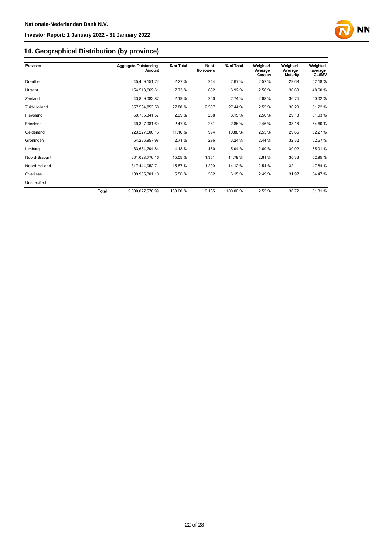

## **14. Geographical Distribution (by province)**

| Province      |       | <b>Aggregate Outstanding</b><br>Amount | % of Total | Nr of<br><b>Borrowers</b> | % of Total | Weighted<br>Average<br>Coupon | Weighted<br>Average<br>Maturity | Weighted<br>average<br><b>CLtIMV</b> |
|---------------|-------|----------------------------------------|------------|---------------------------|------------|-------------------------------|---------------------------------|--------------------------------------|
| Drenthe       |       | 45,469,151.72                          | 2.27%      | 244                       | 2.67%      | 2.57%                         | 29.68                           | 52.18%                               |
| Utrecht       |       | 154,513,669.61                         | 7.73%      | 632                       | 6.92%      | 2.56 %                        | 30.60                           | 48.60%                               |
| Zeeland       |       | 43,869,083.87                          | 2.19%      | 250                       | 2.74 %     | 2.68%                         | 30.74                           | 50.02 %                              |
| Zuid-Holland  |       | 557,534,853.58                         | 27.88%     | 2,507                     | 27.44 %    | 2.55 %                        | 30.20                           | 51.22 %                              |
| Flevoland     |       | 59,755,341.57                          | 2.99%      | 288                       | 3.15%      | 2.50 %                        | 29.13                           | 51.03%                               |
| Friesland     |       | 49,307,081.69                          | 2.47 %     | 261                       | 2.86%      | 2.46 %                        | 33.16                           | 54.60 %                              |
| Gelderland    |       | 223,227,606.16                         | 11.16 %    | 994                       | 10.88%     | 2.55 %                        | 29.66                           | 52.27 %                              |
| Groningen     |       | 54,236,957.98                          | 2.71 %     | 296                       | 3.24 %     | 2.44 %                        | 32.32                           | 52.67%                               |
| Limburg       |       | 83,684,794.84                          | 4.18%      | 460                       | 5.04 %     | 2.60%                         | 30.92                           | 55.01 %                              |
| Noord-Brabant |       | 301,028,776.16                         | 15.05 %    | 1,351                     | 14.79 %    | 2.61%                         | 30.33                           | 52.95 %                              |
| Noord-Holland |       | 317,444,952.71                         | 15.87 %    | 1,290                     | 14.12%     | 2.54 %                        | 32.11                           | 47.84 %                              |
| Overijssel    |       | 109,955,301.10                         | 5.50 %     | 562                       | 6.15%      | 2.49%                         | 31.97                           | 54.47%                               |
| Unspecified   |       |                                        |            |                           |            |                               |                                 |                                      |
|               | Total | 2,000,027,570.99                       | 100.00 %   | 9,135                     | 100.00 %   | 2.55 %                        | 30.72                           | 51.31 %                              |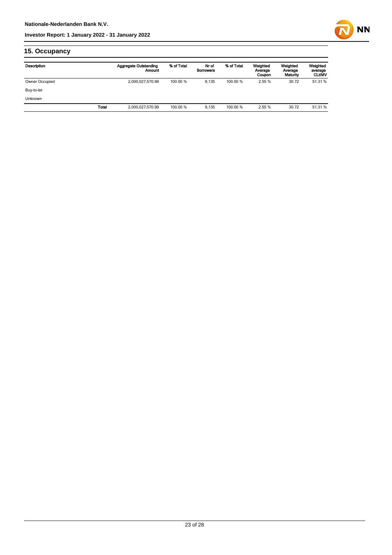

## **15. Occupancy**

| Description    |       | <b>Aggregate Outstanding</b><br>Amount | % of Total | Nr of<br><b>Borrowers</b> | % of Total | Weighted<br>Average<br>Coupon | Weighted<br>Average<br>Maturity | Weighted<br>average<br><b>CLtIMV</b> |
|----------------|-------|----------------------------------------|------------|---------------------------|------------|-------------------------------|---------------------------------|--------------------------------------|
| Owner Occupied |       | 2,000,027,570.99                       | 100.00 %   | 9.135                     | 100.00 %   | 2.55 %                        | 30.72                           | 51.31 %                              |
| Buy-to-let     |       |                                        |            |                           |            |                               |                                 |                                      |
| <b>Unknown</b> |       |                                        |            |                           |            |                               |                                 |                                      |
|                | Total | 2,000,027,570.99                       | 100.00 %   | 9.135                     | 100.00 %   | 2.55 %                        | 30.72                           | 51.31 %                              |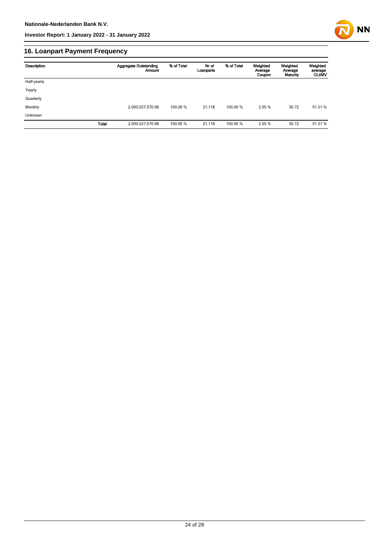

## **16. Loanpart Payment Frequency**

| Description  | <b>Aggregate Outstanding</b><br>Amount | % of Total | Nr of<br>Loanparts | % of Total | Weighted<br>Average<br>Coupon | Weighted<br>Average<br>Maturity | Weighted<br>average<br><b>CLUMV</b> |
|--------------|----------------------------------------|------------|--------------------|------------|-------------------------------|---------------------------------|-------------------------------------|
| Half-yearly  |                                        |            |                    |            |                               |                                 |                                     |
| Yearly       |                                        |            |                    |            |                               |                                 |                                     |
| Quarterly    |                                        |            |                    |            |                               |                                 |                                     |
| Monthly      | 2,000,027,570.99                       | 100.00 %   | 21,118             | 100.00 %   | 2.55 %                        | 30.72                           | 51.31 %                             |
| Unknown      |                                        |            |                    |            |                               |                                 |                                     |
| <b>Total</b> | 2,000,027,570.99                       | 100.00 %   | 21,118             | 100.00 %   | 2.55 %                        | 30.72                           | 51.31 %                             |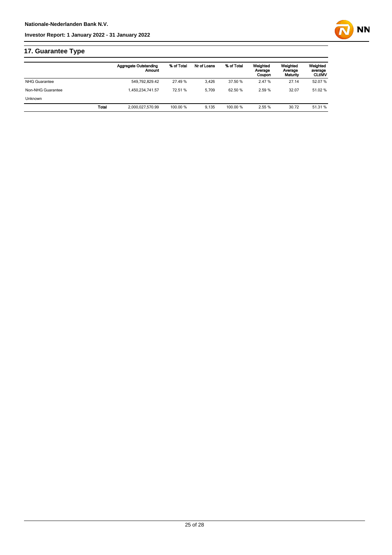

## **17. Guarantee Type**

|                      | <b>Aggregate Outstanding</b><br>Amount | % of Total | Nr of Loans | % of Total | Weighted<br>Average<br>Coupon | Weighted<br>Average<br>Maturity | Weighted<br>average<br><b>CLtIMV</b> |
|----------------------|----------------------------------------|------------|-------------|------------|-------------------------------|---------------------------------|--------------------------------------|
| <b>NHG Guarantee</b> | 549.792.829.42                         | 27.49 %    | 3.426       | 37.50 %    | 2.47 %                        | 27.14                           | 52.07 %                              |
| Non-NHG Guarantee    | 1.450.234.741.57                       | 72.51 %    | 5.709       | 62.50 %    | 2.59 %                        | 32.07                           | 51.02 %                              |
| <b>Unknown</b>       |                                        |            |             |            |                               |                                 |                                      |
|                      | <b>Total</b><br>2.000.027.570.99       | 100.00 %   | 9.135       | 100.00 %   | 2.55 %                        | 30.72                           | 51.31 %                              |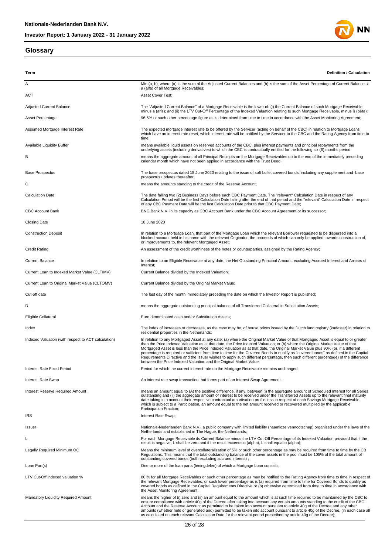#### **Glossary**



| Term                                                | Definition / Calculation                                                                                                                                                                                                                                                                                                                                                                                                                                                                                                                                                                                                                                                                                                                                    |
|-----------------------------------------------------|-------------------------------------------------------------------------------------------------------------------------------------------------------------------------------------------------------------------------------------------------------------------------------------------------------------------------------------------------------------------------------------------------------------------------------------------------------------------------------------------------------------------------------------------------------------------------------------------------------------------------------------------------------------------------------------------------------------------------------------------------------------|
| Α                                                   | Min (a, b), where (a) is the sum of the Adjusted Current Balances and (b) is the sum of the Asset Percentage of Current Balance -/-                                                                                                                                                                                                                                                                                                                                                                                                                                                                                                                                                                                                                         |
| ACT                                                 | a (alfa) of all Mortgage Receivables;<br>Asset Cover Test;                                                                                                                                                                                                                                                                                                                                                                                                                                                                                                                                                                                                                                                                                                  |
|                                                     | The "Adjusted Current Balance" of a Mortgage Receivable is the lower of: (i) the Current Balance of such Mortgage Receivable                                                                                                                                                                                                                                                                                                                                                                                                                                                                                                                                                                                                                                |
| <b>Adjusted Current Balance</b><br>Asset Percentage | minus a (alfa); and (ii) the LTV Cut-Off Percentage of the Indexed Valuation relating to such Mortgage Receivable, minus ß (bèta);<br>96.5% or such other percentage figure as is determined from time to time in accordance with the Asset Monitoring Agreement;                                                                                                                                                                                                                                                                                                                                                                                                                                                                                           |
|                                                     |                                                                                                                                                                                                                                                                                                                                                                                                                                                                                                                                                                                                                                                                                                                                                             |
| Assumed Mortgage Interest Rate                      | The expected mortgage interest rate to be offered by the Servicer (acting on behalf of the CBC) in relation to Mortgage Loans<br>which have an interest rate reset, which interest rate will be notified by the Servicer to the CBC and the Rating Agency from time to<br>time;                                                                                                                                                                                                                                                                                                                                                                                                                                                                             |
| Available Liquidity Buffer                          | means available liquid assets on reserved accounts of the CBC, plus interest payments and principal repayments from the<br>underlying assets (including derivatives) to which the CBC is contractually entitled for the following six (6) months period                                                                                                                                                                                                                                                                                                                                                                                                                                                                                                     |
| В                                                   | means the aggregate amount of all Principal Receipts on the Mortgage Receivables up to the end of the immediately preceding<br>calendar month which have not been applied in accordance with the Trust Deed;                                                                                                                                                                                                                                                                                                                                                                                                                                                                                                                                                |
| <b>Base Prospectus</b>                              | The base prospectus dated 18 June 2020 relating to the issue of soft bullet covered bonds, including any supplement and base<br>prospectus updates thereafter;                                                                                                                                                                                                                                                                                                                                                                                                                                                                                                                                                                                              |
| С                                                   | means the amounts standing to the credit of the Reserve Account;                                                                                                                                                                                                                                                                                                                                                                                                                                                                                                                                                                                                                                                                                            |
| <b>Calculation Date</b>                             | The date falling two (2) Business Days before each CBC Payment Date. The "relevant" Calculation Date in respect of any<br>Calculation Period will be the first Calculation Date falling after the end of that period and the "relevant" Calculation Date in respect<br>of any CBC Payment Date will be the last Calculation Date prior to that CBC Payment Date;                                                                                                                                                                                                                                                                                                                                                                                            |
| <b>CBC Account Bank</b>                             | BNG Bank N.V. in its capacity as CBC Account Bank under the CBC Account Agreement or its successor;                                                                                                                                                                                                                                                                                                                                                                                                                                                                                                                                                                                                                                                         |
| Closing Date                                        | 18 June 2020                                                                                                                                                                                                                                                                                                                                                                                                                                                                                                                                                                                                                                                                                                                                                |
| <b>Construction Deposit</b>                         | In relation to a Mortgage Loan, that part of the Mortgage Loan which the relevant Borrower requested to be disbursed into a<br>blocked account held in his name with the relevant Originator, the proceeds of which can only be applied towards construction of,<br>or improvements to, the relevant Mortgaged Asset;                                                                                                                                                                                                                                                                                                                                                                                                                                       |
| <b>Credit Rating</b>                                | An assessment of the credit worthiness of the notes or counterparties, assigned by the Rating Agency;                                                                                                                                                                                                                                                                                                                                                                                                                                                                                                                                                                                                                                                       |
| <b>Current Balance</b>                              | In relation to an Eligible Receivable at any date, the Net Outstanding Principal Amount, excluding Accrued Interest and Arrears of<br>Interest;                                                                                                                                                                                                                                                                                                                                                                                                                                                                                                                                                                                                             |
| Current Loan to Indexed Market Value (CLTIMV)       | Current Balance divided by the Indexed Valuation;                                                                                                                                                                                                                                                                                                                                                                                                                                                                                                                                                                                                                                                                                                           |
| Current Loan to Original Market Value (CLTOMV)      | Current Balance divided by the Original Market Value;                                                                                                                                                                                                                                                                                                                                                                                                                                                                                                                                                                                                                                                                                                       |
| Cut-off date                                        | The last day of the month immediately preceding the date on which the Investor Report is published;                                                                                                                                                                                                                                                                                                                                                                                                                                                                                                                                                                                                                                                         |
| D                                                   | means the aggregate outstanding principal balance of all Transferred Collateral in Substitution Assets;                                                                                                                                                                                                                                                                                                                                                                                                                                                                                                                                                                                                                                                     |
| Eligible Collateral                                 | Euro denominated cash and/or Substitution Assets;                                                                                                                                                                                                                                                                                                                                                                                                                                                                                                                                                                                                                                                                                                           |
| Index                                               | The index of increases or decreases, as the case may be, of house prices issued by the Dutch land registry (kadaster) in relation to<br>residential properties in the Netherlands;                                                                                                                                                                                                                                                                                                                                                                                                                                                                                                                                                                          |
| Indexed Valuation (with respect to ACT calculation) | In relation to any Mortgaged Asset at any date: (a) where the Original Market Value of that Mortgaged Asset is equal to or greater<br>than the Price Indexed Valuation as at that date, the Price Indexed Valuation; or (b) where the Original Market Value of that<br>Mortgaged Asset is less than the Price Indexed Valuation as at that date, the Original Market Value plus 90% (or, if a different<br>percentage is required or sufficient from time to time for the Covered Bonds to qualify as "covered bonds" as defined in the Capital<br>Requirements Directive and the Issuer wishes to apply such different percentage, then such different percentage) of the difference<br>between the Price Indexed Valuation and the Original Market Value; |
| Interest Rate Fixed Period                          | Period for which the current interest rate on the Mortgage Receivable remains unchanged;                                                                                                                                                                                                                                                                                                                                                                                                                                                                                                                                                                                                                                                                    |
| <b>Interest Rate Swap</b>                           | An interest rate swap transaction that forms part of an Interest Swap Agreement.                                                                                                                                                                                                                                                                                                                                                                                                                                                                                                                                                                                                                                                                            |
| Interest Reserve Required Amount                    | means an amount equal to (A) the positive difference, if any, between (i) the aggregate amount of Scheduled Interest for all Series<br>outstanding and (ii) the aggregate amount of interest to be received under the Transferred Assets up to the relevant final maturity<br>date taking into account their respective contractual amortisation profile less in respect of each Savings Mortgage Receivable<br>which is subject to a Participation, an amount equal to the net amount received or recovered multiplied by the applicable<br>Participation Fraction;                                                                                                                                                                                        |
| <b>IRS</b>                                          | Interest Rate Swap;                                                                                                                                                                                                                                                                                                                                                                                                                                                                                                                                                                                                                                                                                                                                         |
| Issuer                                              | Nationale-Nederlanden Bank N.V., a public company with limited liability (naamloze vennootschap) organised under the laws of the<br>Netherlands and established in The Haque, the Netherlands;                                                                                                                                                                                                                                                                                                                                                                                                                                                                                                                                                              |
| L                                                   | For each Mortgage Receivable its Current Balance minus the LTV Cut-Off Percentage of its Indexed Valuation provided that if the<br>result is negative, L shall be zero and if the result exceeds $\alpha$ (alpha), L shall equal $\alpha$ (alpha);                                                                                                                                                                                                                                                                                                                                                                                                                                                                                                          |
| Legally Required Minimum OC                         | Means the minimum level of overcollateralization of 5% or such other percentage as may be required from time to time by the CB<br>Regulations. This means that the total outstanding balance of the cover assets in the pool must be 105% of the total amount of                                                                                                                                                                                                                                                                                                                                                                                                                                                                                            |
| Loan Part(s)                                        | outstanding covered bonds (both excluding accrued interest);<br>One or more of the loan parts (leningdelen) of which a Mortgage Loan consists;                                                                                                                                                                                                                                                                                                                                                                                                                                                                                                                                                                                                              |
|                                                     |                                                                                                                                                                                                                                                                                                                                                                                                                                                                                                                                                                                                                                                                                                                                                             |
| LTV Cut-Off indexed valuation %                     | 80 % for all Mortgage Receivables or such other percentage as may be notified to the Rating Agency from time to time in respect of<br>the relevant Mortgage Receivables, or such lower percentage as is (a) required from time to time for Covered Bonds to qualify as<br>covered bonds as defined in the Capital Requirements Directive or (b) otherwise determined from time to time in accordance with<br>the Asset Monitoring Agreement;                                                                                                                                                                                                                                                                                                                |
| <b>Mandatory Liquidity Required Amount</b>          | means the higher of (i) zero and (ii) an amount equal to the amount which is at such time required to be maintained by the CBC to<br>ensure compliance with article 40g of the Decree after taking into account any certain amounts standing to the credit of the CBC<br>Account and the Reserve Account as permitted to be taken into account pursuant to article 40g of the Decree and any other<br>amounts (whether held or generated and) permitted to be taken into account pursuant to article 40g of the Decree, (in each case all<br>as calculated on each relevant Calculation Date for the relevant period prescribed by article 40g of the Decree);                                                                                              |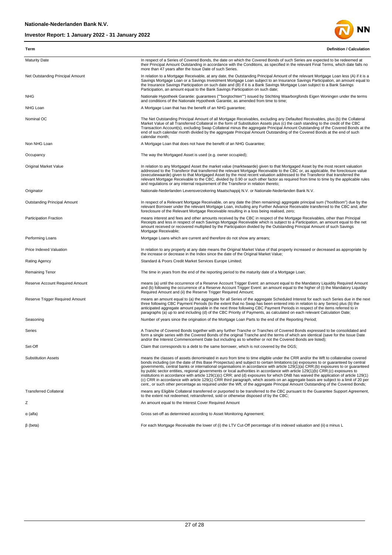

In respect of a Series of Covered Bonds, the date on which the Covered Bonds of such Series are expected to be redeemed at<br>their Principal Amount Outstanding in accordance with the Conditions, as specified in the relevant Net Outstanding Principal Amount **In relation to a Mortgage Receivable**, at any date, the Outstanding Principal Amount of the relevant Mortgage Loan less (A) if it is a Savings Mortgage Loan or a Savings Investment Mortgage Loan subject to an Insurance Savings Participation, an amount equal to<br>the Insurance Savings Participation on such date and (B) if it is a Bank Savings Mortgage Loan s Participation, an amount equal to the Bank Savings Participation on such date; NHG Nationale Hypotheek Garantie: guarantees (""borgtochten"") issued by Stichting Waarborgfonds Eigen Woningen under the terms

and conditions of the Nationale Hypotheek Garantie, as amended from time to time; NHG Loan **A** Mortgage Loan that has the benefit of an NHG guarantee:

**Term Definition / Calculation**

more than 47 years after the Issue Date of such Series.

Nominal OC **The Net Outstanding Principal Amount of all Mortgage Receivables, excluding any Defaulted Receivables, plus (b) the Collateral** Market Value of all Transferred Collateral in the form of Substitution Assets plus (c) the cash standing to the credit of the CBC<br>Transaction Account(s), excluding Swap Collateral minus the aggregate Principal Amount Outst calendar month;

Non NHG Loan **A Mortgage Loan that does not have the benefit of an NHG Guarantee;** 

Occupancy **The way the Mortgaged Asset is used (e.g. owner occupied)** 

In relation to any Mortgaged Asset the market value (marktwaarde) given to that Mortgaged Asset by the most recent valuation<br>addressed to the Transferor that transferred the relevant Mortgage Receivable to the CBC or, as a (executiewaarde) given to that Mortgaged Asset by the most recent valuation addressed to the Transferor that transferred the<br>relevant Mortgage Receivable to the CBC, divided by 0.90 or such other factor as required from ti and regulations or any internal requirement of the Transferor in relation thereto; Originator Nationale-Nederlanden Levensverzekering Maatschappij N.V. or Nationale-Nederlanden Bank N.V.

Dutstanding Principal Amount Morto Here in respect of a Relevant Mortgage Receivable, on any date the (then remaining) aggregate principal sum ("hoofdsom") due by the by the the CBC and, after (the Netwant Borrower under t

means interest and fees and other amounts received by the CBC in respect of the Mortgage Receivables, other than Principal<br>Receipts and less in respect of each Savings Mortgage Receivable which is subject to a Participatio Mortgage Receivable;

Performing Loans Mortgage Loans which are current and therefore do not show any arrears;

Price Indexed Valuation Intervent In relation to any property at any date means the Original Market Value of that property increased or decreased as appropriate by the increase or decrease in the Index since the date of the Original Market Value; Rating Agency Standard & Poors Credit Market Services Europe Limited;

Remaining Tenor The time in years from the end of the reporting period to the maturity date of a Mortgage Loan;

means (a) until the occurrence of a Reserve Account Trigger Event: an amount equal to the Mandatory Liquidity Required Amount<br>and (b) following the occurrence of a Reserve Account Trigger Event: an amount equal to the high

Reserve Trigger Required Amount end the next means an amount equal to (a) the aggregate for all Series of the aggregate Scheduled Interest for each such Series due in the next meation to any Series) plus (b) the<br>three foll anticipated aggregate amount payable in the next three following CBC Payment Periods in respect of the items referred to in paragraphs (a) up to and including (d) of the CBC Priority of Payments, as calculated on each relevant Calculation Date;

Seasoning **Number of years since the origination of the Mortgage Loan Parts to the end of the Reporting Period**;

A Tranche of Covered Bonds together with any further Tranche or Tranches of Covered Bonds expressed to be consolidated and<br>form a single series with the Covered Bonds of the original Tranche and the terms of which are iden and/or the Interest Commencement Date but including as to whether or not the Covered Bonds are listed);

Set-Off Claim that corresponds to a debt to the same borrower, which is not covered by the DGS;

Substitution Assets<br>
means the classes of assets denominated in euro from time to time eligible under the CRR and/or the Wft to collateralise covered<br>
bonds including (on the date of this Base Prospectus) and subject to ce

means any Eligible Collateral transferred or purported to be transferred to the CBC pursuant to the Guarantee Support Agreement,<br>to the extent not redeemed, retransferred, sold or otherwise disposed of by the CBC;

z 2

α (alfa) Gross set-off as determined according to Asset Monitoring Agreement;

β (beta) For each Mortgage Receivable the lower of (i) the LTV Cut-Off percentage of its indexed valuation and (ii) α minus L